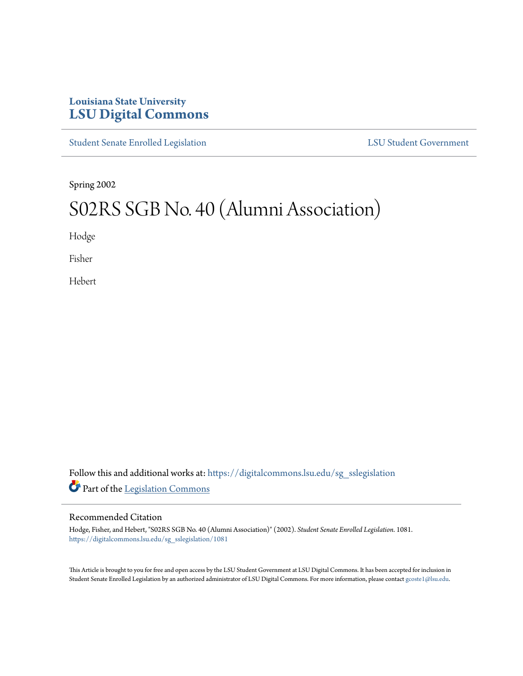# **Louisiana State University [LSU Digital Commons](https://digitalcommons.lsu.edu?utm_source=digitalcommons.lsu.edu%2Fsg_sslegislation%2F1081&utm_medium=PDF&utm_campaign=PDFCoverPages)**

[Student Senate Enrolled Legislation](https://digitalcommons.lsu.edu/sg_sslegislation?utm_source=digitalcommons.lsu.edu%2Fsg_sslegislation%2F1081&utm_medium=PDF&utm_campaign=PDFCoverPages) [LSU Student Government](https://digitalcommons.lsu.edu/sg?utm_source=digitalcommons.lsu.edu%2Fsg_sslegislation%2F1081&utm_medium=PDF&utm_campaign=PDFCoverPages)

Spring 2002

# S02RS SGB No. 40 (Alumni Association)

Hodge

Fisher

Hebert

Follow this and additional works at: [https://digitalcommons.lsu.edu/sg\\_sslegislation](https://digitalcommons.lsu.edu/sg_sslegislation?utm_source=digitalcommons.lsu.edu%2Fsg_sslegislation%2F1081&utm_medium=PDF&utm_campaign=PDFCoverPages) Part of the [Legislation Commons](http://network.bepress.com/hgg/discipline/859?utm_source=digitalcommons.lsu.edu%2Fsg_sslegislation%2F1081&utm_medium=PDF&utm_campaign=PDFCoverPages)

### Recommended Citation

Hodge, Fisher, and Hebert, "S02RS SGB No. 40 (Alumni Association)" (2002). *Student Senate Enrolled Legislation*. 1081. [https://digitalcommons.lsu.edu/sg\\_sslegislation/1081](https://digitalcommons.lsu.edu/sg_sslegislation/1081?utm_source=digitalcommons.lsu.edu%2Fsg_sslegislation%2F1081&utm_medium=PDF&utm_campaign=PDFCoverPages)

This Article is brought to you for free and open access by the LSU Student Government at LSU Digital Commons. It has been accepted for inclusion in Student Senate Enrolled Legislation by an authorized administrator of LSU Digital Commons. For more information, please contact [gcoste1@lsu.edu.](mailto:gcoste1@lsu.edu)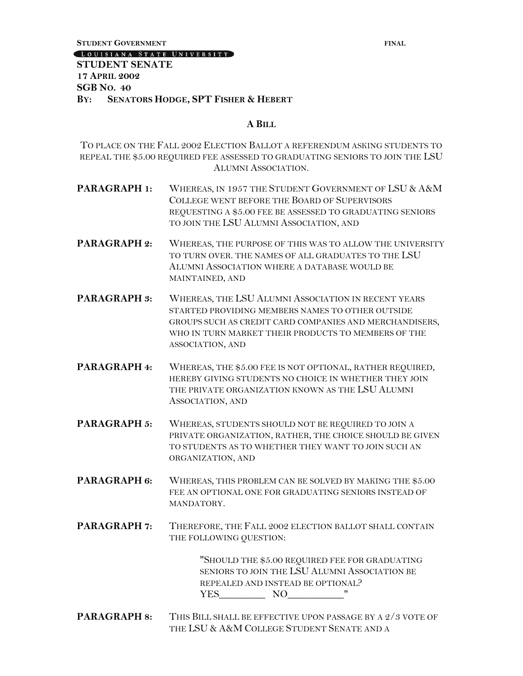**STUDENT GOVERNMENT FINAL**

LOUISIANA STATE UNIVERSITY

# **STUDENT SENATE 17 APRIL 2002 SGB NO. 40 BY: SENATORS HODGE, SPT FISHER & HEBERT**

#### **A BILL**

TO PLACE ON THE FALL 2002 ELECTION BALLOT A REFERENDUM ASKING STUDENTS TO REPEAL THE \$5.00 REQUIRED FEE ASSESSED TO GRADUATING SENIORS TO JOIN THE LSU ALUMNI ASSOCIATION.

- **PARAGRAPH 1:** WHEREAS, IN 1957 THE STUDENT GOVERNMENT OF LSU & A&M COLLEGE WENT BEFORE THE BOARD OF SUPERVISORS REQUESTING A \$5.00 FEE BE ASSESSED TO GRADUATING SENIORS TO JOIN THE LSU ALUMNI ASSOCIATION, AND
- **PARAGRAPH 2:** WHEREAS, THE PURPOSE OF THIS WAS TO ALLOW THE UNIVERSITY TO TURN OVER. THE NAMES OF ALL GRADUATES TO THE LSU ALUMNI ASSOCIATION WHERE A DATABASE WOULD BE MAINTAINED, AND
- **PARAGRAPH 3:** WHEREAS, THE LSU ALUMNI ASSOCIATION IN RECENT YEARS STARTED PROVIDING MEMBERS NAMES TO OTHER OUTSIDE GROUPS SUCH AS CREDIT CARD COMPANIES AND MERCHANDISERS, WHO IN TURN MARKET THEIR PRODUCTS TO MEMBERS OF THE ASSOCIATION, AND
- **PARAGRAPH 4:** WHEREAS, THE \$5.00 FEE IS NOT OPTIONAL, RATHER REQUIRED, HEREBY GIVING STUDENTS NO CHOICE IN WHETHER THEY JOIN THE PRIVATE ORGANIZATION KNOWN AS THE LSU ALUMNI ASSOCIATION, AND
- **PARAGRAPH 5:** WHEREAS, STUDENTS SHOULD NOT BE REQUIRED TO JOIN A PRIVATE ORGANIZATION, RATHER, THE CHOICE SHOULD BE GIVEN TO STUDENTS AS TO WHETHER THEY WANT TO JOIN SUCH AN ORGANIZATION, AND
- **PARAGRAPH 6:** WHEREAS, THIS PROBLEM CAN BE SOLVED BY MAKING THE \$5.00 FEE AN OPTIONAL ONE FOR GRADUATING SENIORS INSTEAD OF MANDATORY.
- **PARAGRAPH 7:** THEREFORE, THE FALL 2002 ELECTION BALLOT SHALL CONTAIN THE FOLLOWING QUESTION:

"SHOULD THE \$5.00 REQUIRED FEE FOR GRADUATING SENIORS TO JOIN THE LSU ALUMNI ASSOCIATION BE REPEALED AND INSTEAD BE OPTIONAL? YES NO "

**PARAGRAPH 8:** THIS BILL SHALL BE EFFECTIVE UPON PASSAGE BY A 2/3 VOTE OF THE LSU & A&M COLLEGE STUDENT SENATE AND A